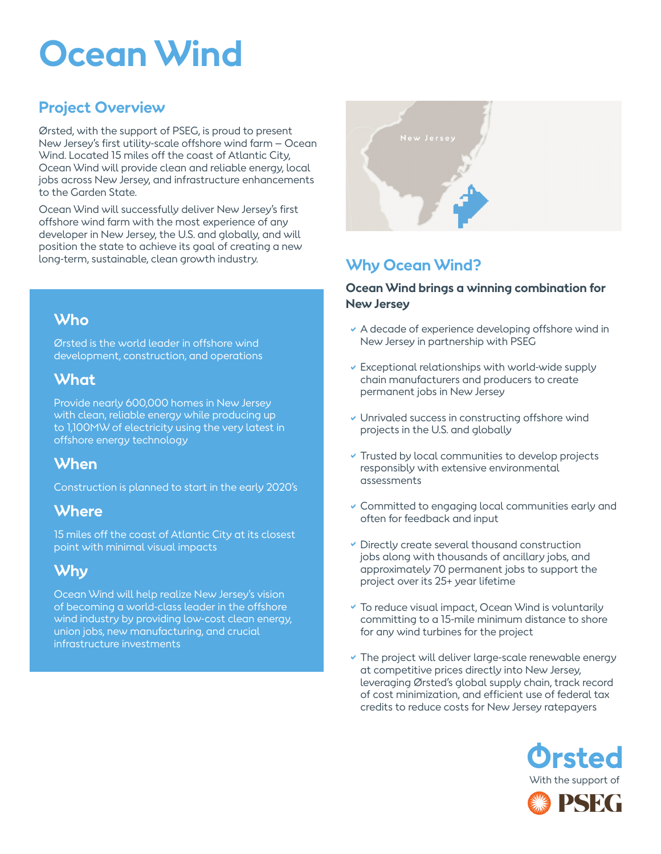# **Ocean Wind**

# **Project Overview**

Ørsted, with the support of PSEG, is proud to present New Jersey's first utility-scale offshore wind farm – Ocean Wind. Located 15 miles off the coast of Atlantic City, Ocean Wind will provide clean and reliable energy, local jobs across New Jersey, and infrastructure enhancements to the Garden State.

Ocean Wind will successfully deliver New Jersey's first offshore wind farm with the most experience of any developer in New Jersey, the U.S. and globally, and will position the state to achieve its goal of creating a new long-term, sustainable, clean growth industry.

# **Who**

Ørsted is the world leader in offshore wind development, construction, and operations

## **What**

Provide nearly 600,000 homes in New Jersey with clean, reliable energy while producing up to 1,100MW of electricity using the very latest in offshore energy technology

# **When**

Construction is planned to start in the early 2020's

# **Where**

15 miles off the coast of Atlantic City at its closest point with minimal visual impacts

# **Why**

Ocean Wind will help realize New Jersey's vision of becoming a world-class leader in the offshore wind industry by providing low-cost clean energy, union jobs, new manufacturing, and crucial infrastructure investments



# **Why Ocean Wind?**

#### **Ocean Wind brings a winning combination for New Jersey**

- $\vee$  A decade of experience developing offshore wind in New Jersey in partnership with PSEG
- Exceptional relationships with world-wide supply a chain manufacturers and producers to create permanent jobs in New Jersey
- Unrivaled success in constructing offshore wind projects in the U.S. and globally
- **v** Trusted by local communities to develop projects responsibly with extensive environmental assessments
- Gommitted to engaging local communities early and often for feedback and input
- Directly create several thousand construction a jobs along with thousands of ancillary jobs, and approximately 70 permanent jobs to support the project over its 25+ year lifetime
- To reduce visual impact, Ocean Wind is voluntarily a committing to a 15-mile minimum distance to shore for any wind turbines for the project
- The project will deliver large-scale renewable energy at competitive prices directly into New Jersey, leveraging Ørsted's global supply chain, track record of cost minimization, and efficient use of federal tax credits to reduce costs for New Jersey ratepayers